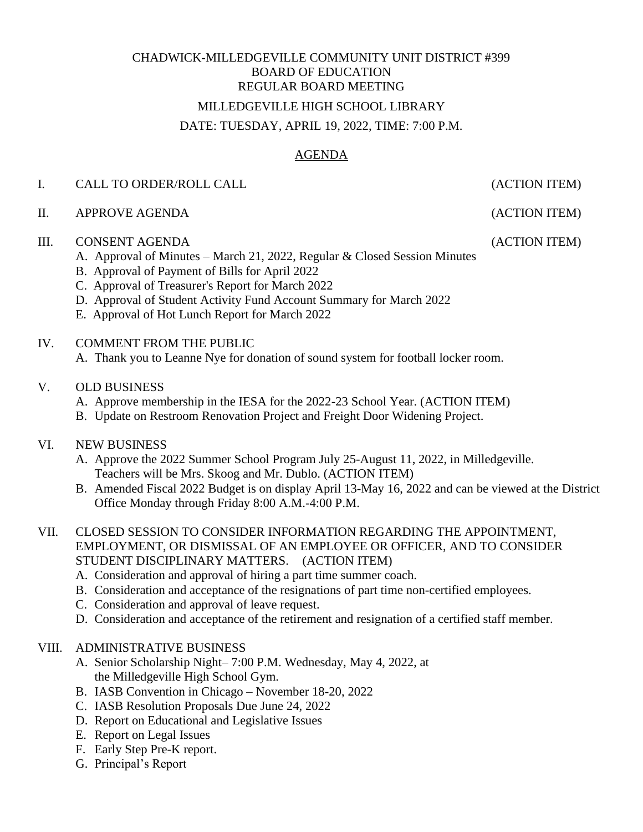# CHADWICK-MILLEDGEVILLE COMMUNITY UNIT DISTRICT #399 BOARD OF EDUCATION REGULAR BOARD MEETING MILLEDGEVILLE HIGH SCHOOL LIBRARY

#### DATE: TUESDAY, APRIL 19, 2022, TIME: 7:00 P.M.

## AGENDA

#### I. CALL TO ORDER/ROLL CALL (ACTION ITEM)

II. APPROVE AGENDA (ACTION ITEM)

#### III. CONSENT AGENDA (ACTION ITEM)

- A. Approval of Minutes March 21, 2022, Regular & Closed Session Minutes
- B. Approval of Payment of Bills for April 2022
- C. Approval of Treasurer's Report for March 2022
- D. Approval of Student Activity Fund Account Summary for March 2022
- E. Approval of Hot Lunch Report for March 2022
- IV. COMMENT FROM THE PUBLIC
	- A. Thank you to Leanne Nye for donation of sound system for football locker room.
- V. OLD BUSINESS
	- A. Approve membership in the IESA for the 2022-23 School Year. (ACTION ITEM)
	- B. Update on Restroom Renovation Project and Freight Door Widening Project.

## VI. NEW BUSINESS

- A. Approve the 2022 Summer School Program July 25-August 11, 2022, in Milledgeville. Teachers will be Mrs. Skoog and Mr. Dublo. (ACTION ITEM)
- B. Amended Fiscal 2022 Budget is on display April 13-May 16, 2022 and can be viewed at the District Office Monday through Friday 8:00 A.M.-4:00 P.M.
- VII. CLOSED SESSION TO CONSIDER INFORMATION REGARDING THE APPOINTMENT, EMPLOYMENT, OR DISMISSAL OF AN EMPLOYEE OR OFFICER, AND TO CONSIDER STUDENT DISCIPLINARY MATTERS. (ACTION ITEM)
	- A. Consideration and approval of hiring a part time summer coach.
	- B. Consideration and acceptance of the resignations of part time non-certified employees.
	- C. Consideration and approval of leave request.
	- D. Consideration and acceptance of the retirement and resignation of a certified staff member.

#### VIII. ADMINISTRATIVE BUSINESS

- A. Senior Scholarship Night– 7:00 P.M. Wednesday, May 4, 2022, at the Milledgeville High School Gym.
- B. IASB Convention in Chicago November 18-20, 2022
- C. IASB Resolution Proposals Due June 24, 2022
- D. Report on Educational and Legislative Issues
- E. Report on Legal Issues
- F. Early Step Pre-K report.
- G. Principal's Report